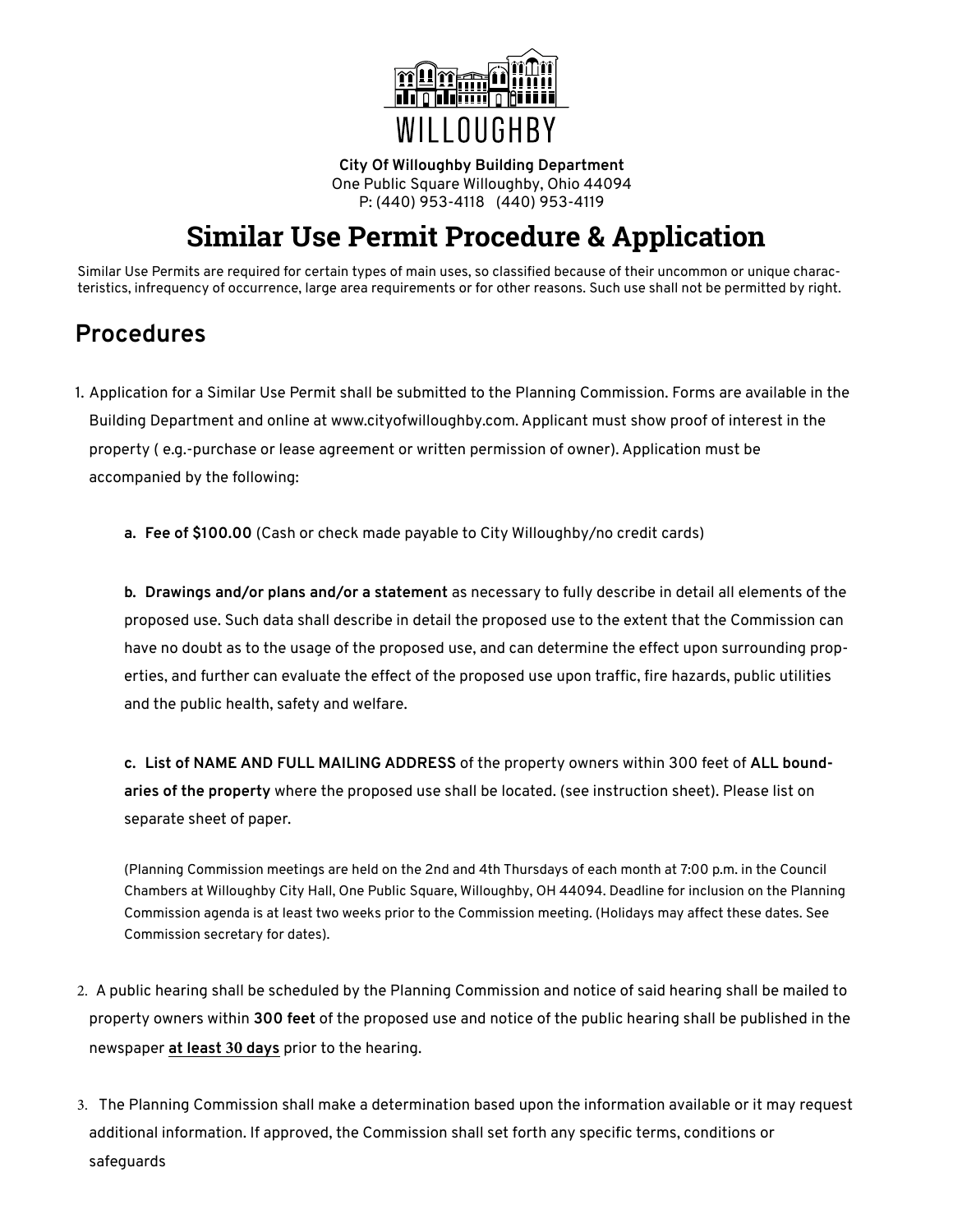

**City Of Willoughby Building Department** One Public Square Willoughby, Ohio 44094 P: (440) 953-4118 (440) 953-4119

# **Similar Use Permit Procedure & Application**

Similar Use Permits are required for certain types of main uses, so classified because of their uncommon or unique characteristics, infrequency of occurrence, large area requirements or for other reasons. Such use shall not be permitted by right.

# **Procedures**

1. Application for a Similar Use Permit shall be submitted to the Planning Commission. Forms are available in the Building Department and online at www.cityofwilloughby.com. Applicant must show proof of interest in the property ( e.g.-purchase or lease agreement or written permission of owner). Application must be accompanied by the following:

**a. Fee of \$100.00** (Cash or check made payable to City Willoughby/no credit cards)

**b. Drawings and/or plans and/or a statement** as necessary to fully describe in detail all elements of the proposed use. Such data shall describe in detail the proposed use to the extent that the Commission can have no doubt as to the usage of the proposed use, and can determine the effect upon surrounding properties, and further can evaluate the effect of the proposed use upon traffic, fire hazards, public utilities and the public health, safety and welfare.

**c. List of NAME AND FULL MAILING ADDRESS** of the property owners within 300 feet of **ALL boundaries of the property** where the proposed use shall be located. (see instruction sheet). Please list on separate sheet of paper.

(Planning Commission meetings are held on the 2nd and 4th Thursdays of each month at 7:00 p.m. in the Council Chambers at Willoughby City Hall, One Public Square, Willoughby, OH 44094. Deadline for inclusion on the Planning Commission agenda is at least two weeks prior to the Commission meeting. (Holidays may affect these dates. See Commission secretary for dates).

- 2. A public hearing shall be scheduled by the Planning Commission and notice of said hearing shall be mailed to property owners within **300 feet** of the proposed use and notice of the public hearing shall be published in the newspaper **at least 30 days** prior to the hearing.
- 3. The Planning Commission shall make a determination based upon the information available or it may request additional information. If approved, the Commission shall set forth any specific terms, conditions or safeguards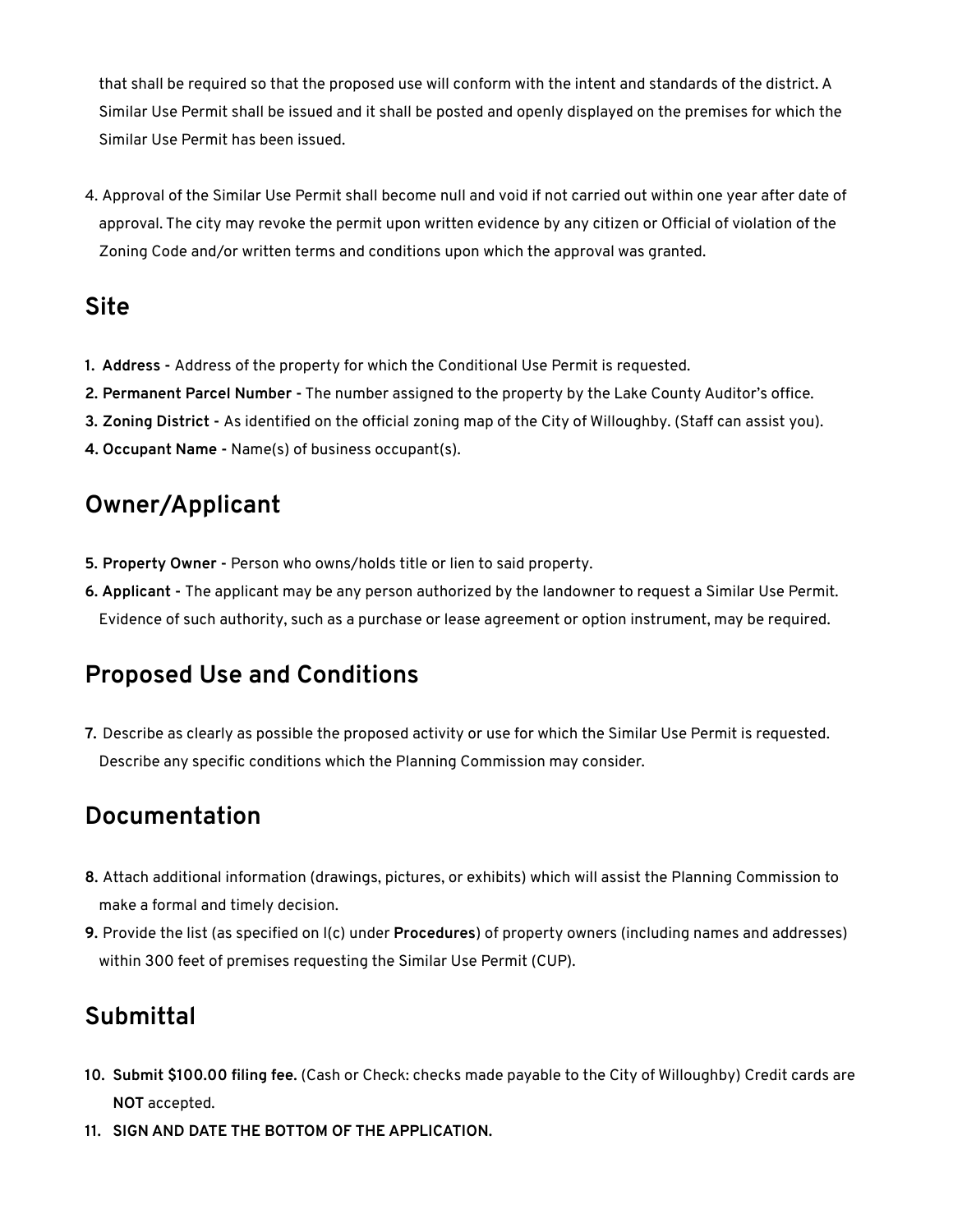that shall be required so that the proposed use will conform with the intent and standards of the district. A Similar Use Permit shall be issued and it shall be posted and openly displayed on the premises for which the Similar Use Permit has been issued.

4. Approval of the Similar Use Permit shall become null and void if not carried out within one year after date of approval. The city may revoke the permit upon written evidence by any citizen or Official of violation of the Zoning Code and/or written terms and conditions upon which the approval was granted.

### **Site**

- **1. Address** Address of the property for which the Conditional Use Permit is requested.
- **2. Permanent Parcel Number -** The number assigned to the property by the Lake County Auditor's office.
- **3. Zoning District** As identified on the official zoning map of the City of Willoughby. (Staff can assist you).
- **4. Occupant Name -** Name(s) of business occupant(s).

# **Owner/Applicant**

- **5. Property Owner** Person who owns/holds title or lien to said property.
- **6. Applicant** The applicant may be any person authorized by the landowner to request a Similar Use Permit. Evidence of such authority, such as a purchase or lease agreement or option instrument, may be required.

# **Proposed Use and Conditions**

**7.** Describe as clearly as possible the proposed activity or use for which the Similar Use Permit is requested. Describe any specific conditions which the Planning Commission may consider.

# **Documentation**

- **8.** Attach additional information (drawings, pictures, or exhibits) which will assist the Planning Commission to make a formal and timely decision.
- **9.** Provide the list (as specified on l(c) under **Procedures**) of property owners (including names and addresses) within 300 feet of premises requesting the Similar Use Permit (CUP).

# **Submittal**

- **10. Submit \$100.00 filing fee.** (Cash or Check: checks made payable to the City of Willoughby) Credit cards are **NOT** accepted.
- **11. SIGN AND DATE THE BOTTOM OF THE APPLICATION.**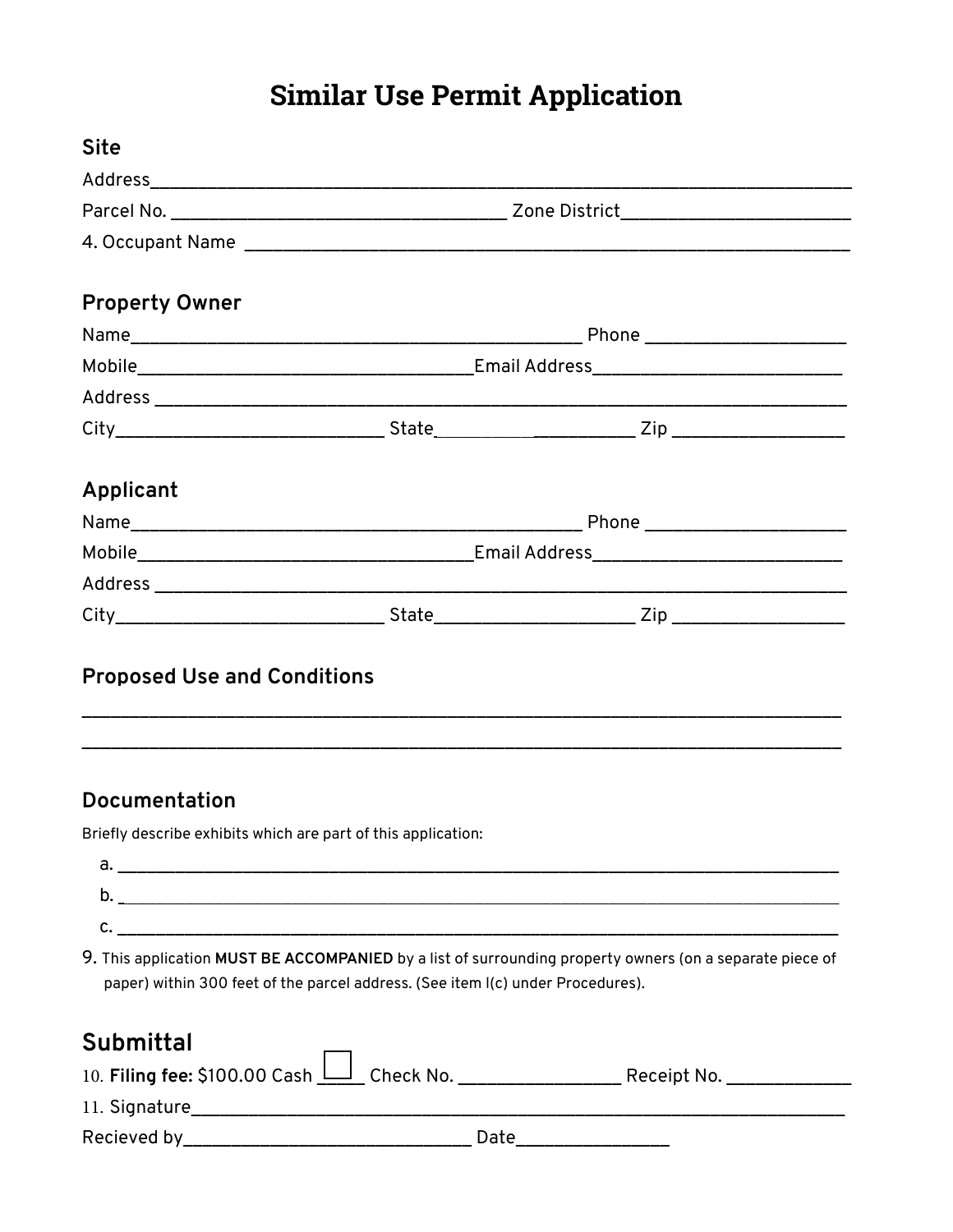# **Similar Use Permit Application**

| <b>Site</b>                                                                     |  |                                                                                                          |
|---------------------------------------------------------------------------------|--|----------------------------------------------------------------------------------------------------------|
|                                                                                 |  |                                                                                                          |
|                                                                                 |  |                                                                                                          |
|                                                                                 |  |                                                                                                          |
| <b>Property Owner</b>                                                           |  |                                                                                                          |
|                                                                                 |  |                                                                                                          |
|                                                                                 |  |                                                                                                          |
|                                                                                 |  |                                                                                                          |
|                                                                                 |  |                                                                                                          |
| Applicant                                                                       |  |                                                                                                          |
|                                                                                 |  |                                                                                                          |
|                                                                                 |  |                                                                                                          |
|                                                                                 |  |                                                                                                          |
|                                                                                 |  |                                                                                                          |
| <b>Proposed Use and Conditions</b><br>Documentation                             |  |                                                                                                          |
|                                                                                 |  |                                                                                                          |
| Briefly describe exhibits which are part of this application:                   |  |                                                                                                          |
|                                                                                 |  |                                                                                                          |
|                                                                                 |  |                                                                                                          |
| paper) within 300 feet of the parcel address. (See item I(c) under Procedures). |  | 9. This application MUST BE ACCOMPANIED by a list of surrounding property owners (on a separate piece of |
| <b>Submittal</b>                                                                |  |                                                                                                          |
|                                                                                 |  | 10. Filing fee: \$100.00 Cash   Check No. _ _ _ _ _ _ _ _ _ Receipt No. _ _ _ _ _ _ _ _                  |
|                                                                                 |  |                                                                                                          |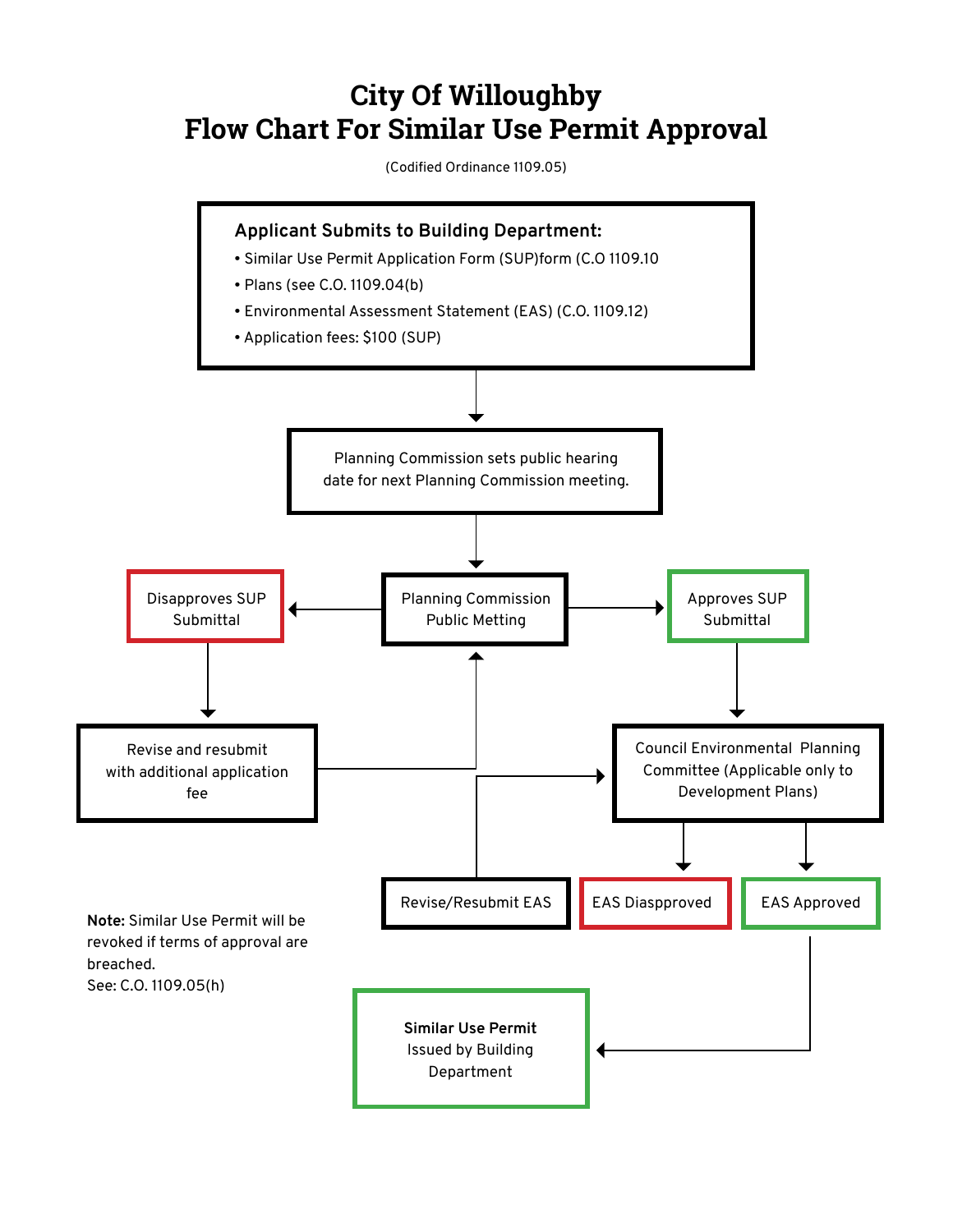# **City Of Willoughby Flow Chart For Similar Use Permit Approval**

(Codified Ordinance 1109.05)